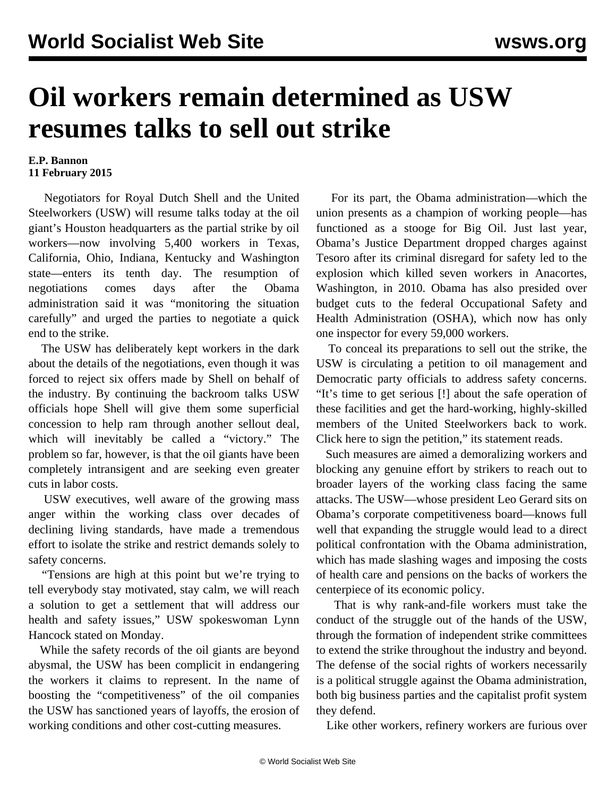## **Oil workers remain determined as USW resumes talks to sell out strike**

## **E.P. Bannon 11 February 2015**

 Negotiators for Royal Dutch Shell and the United Steelworkers (USW) will resume talks today at the oil giant's Houston headquarters as the partial strike by oil workers—now involving 5,400 workers in Texas, California, Ohio, Indiana, Kentucky and Washington state—enters its tenth day. The resumption of negotiations comes days after the Obama administration said it was "monitoring the situation carefully" and urged the parties to negotiate a quick end to the strike.

 The USW has deliberately kept workers in the dark about the details of the negotiations, even though it was forced to reject six offers made by Shell on behalf of the industry. By continuing the backroom talks USW officials hope Shell will give them some superficial concession to help ram through another sellout deal, which will inevitably be called a "victory." The problem so far, however, is that the oil giants have been completely intransigent and are seeking even greater cuts in labor costs.

 USW executives, well aware of the growing mass anger within the working class over decades of declining living standards, have made a tremendous effort to isolate the strike and restrict demands solely to safety concerns.

 "Tensions are high at this point but we're trying to tell everybody stay motivated, stay calm, we will reach a solution to get a settlement that will address our health and safety issues," USW spokeswoman Lynn Hancock stated on Monday.

 While the safety records of the oil giants are beyond abysmal, the USW has been complicit in endangering the workers it claims to represent. In the name of boosting the "competitiveness" of the oil companies the USW has sanctioned years of layoffs, the erosion of working conditions and other cost-cutting measures.

 For its part, the Obama administration—which the union presents as a champion of working people—has functioned as a stooge for Big Oil. Just last year, Obama's Justice Department dropped charges against Tesoro after its criminal disregard for safety led to the explosion which killed seven workers in Anacortes, Washington, in 2010. Obama has also presided over budget cuts to the federal Occupational Safety and Health Administration (OSHA), which now has only one inspector for every 59,000 workers.

 To conceal its preparations to sell out the strike, the USW is circulating a petition to oil management and Democratic party officials to address safety concerns. "It's time to get serious [!] about the safe operation of these facilities and get the hard-working, highly-skilled members of the United Steelworkers back to work. Click here to sign the petition," its statement reads.

 Such measures are aimed a demoralizing workers and blocking any genuine effort by strikers to reach out to broader layers of the working class facing the same attacks. The USW—whose president Leo Gerard sits on Obama's corporate competitiveness board—knows full well that expanding the struggle would lead to a direct political confrontation with the Obama administration, which has made slashing wages and imposing the costs of health care and pensions on the backs of workers the centerpiece of its economic policy.

 That is why rank-and-file workers must take the conduct of the struggle out of the hands of the USW, through the formation of independent strike committees to extend the strike throughout the industry and beyond. The defense of the social rights of workers necessarily is a political struggle against the Obama administration, both big business parties and the capitalist profit system they defend.

Like other workers, refinery workers are furious over